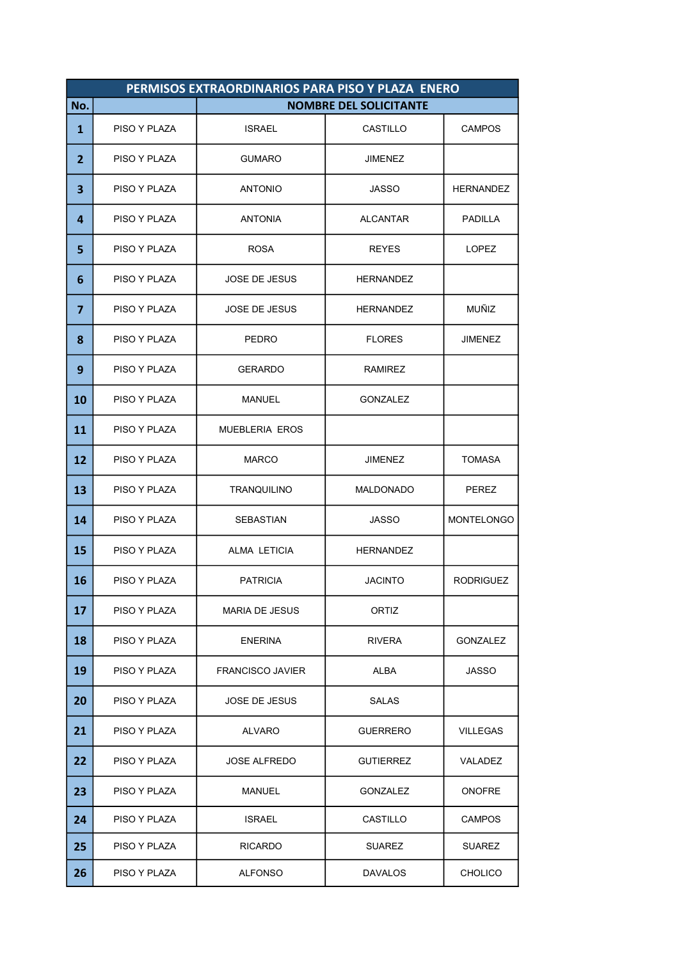|                | PERMISOS EXTRAORDINARIOS PARA PISO Y PLAZA ENERO |                         |                               |                   |  |
|----------------|--------------------------------------------------|-------------------------|-------------------------------|-------------------|--|
| No.            |                                                  |                         | <b>NOMBRE DEL SOLICITANTE</b> |                   |  |
| 1              | PISO Y PLAZA                                     | <b>ISRAEL</b>           | CASTILLO                      | <b>CAMPOS</b>     |  |
| $\overline{2}$ | PISO Y PLAZA                                     | <b>GUMARO</b>           | <b>JIMENEZ</b>                |                   |  |
| 3              | PISO Y PLAZA                                     | <b>ANTONIO</b>          | JASSO                         | <b>HERNANDEZ</b>  |  |
| 4              | PISO Y PLAZA                                     | <b>ANTONIA</b>          | <b>ALCANTAR</b>               | <b>PADILLA</b>    |  |
| 5              | PISO Y PLAZA                                     | <b>ROSA</b>             | <b>REYES</b>                  | <b>LOPEZ</b>      |  |
| 6              | PISO Y PLAZA                                     | <b>JOSE DE JESUS</b>    | <b>HERNANDEZ</b>              |                   |  |
| $\overline{7}$ | PISO Y PLAZA                                     | <b>JOSE DE JESUS</b>    | <b>HERNANDEZ</b>              | MUÑIZ             |  |
| 8              | PISO Y PLAZA                                     | <b>PEDRO</b>            | <b>FLORES</b>                 | <b>JIMENEZ</b>    |  |
| 9              | PISO Y PLAZA                                     | <b>GERARDO</b>          | <b>RAMIREZ</b>                |                   |  |
| 10             | PISO Y PLAZA                                     | <b>MANUEL</b>           | <b>GONZALEZ</b>               |                   |  |
| 11             | PISO Y PLAZA                                     | <b>MUEBLERIA EROS</b>   |                               |                   |  |
| 12             | PISO Y PLAZA                                     | <b>MARCO</b>            | JIMENEZ                       | TOMASA            |  |
| 13             | PISO Y PLAZA                                     | <b>TRANQUILINO</b>      | <b>MALDONADO</b>              | <b>PEREZ</b>      |  |
| 14             | PISO Y PLAZA                                     | <b>SEBASTIAN</b>        | <b>JASSO</b>                  | <b>MONTELONGO</b> |  |
| 15             | PISO Y PLAZA                                     | ALMA LETICIA            | <b>HERNANDEZ</b>              |                   |  |
| 16             | PISO Y PLAZA                                     | <b>PATRICIA</b>         | <b>JACINTO</b>                | <b>RODRIGUEZ</b>  |  |
| 17             | PISO Y PLAZA                                     | <b>MARIA DE JESUS</b>   | <b>ORTIZ</b>                  |                   |  |
| 18             | PISO Y PLAZA                                     | <b>ENERINA</b>          | RIVERA                        | GONZALEZ          |  |
| 19             | PISO Y PLAZA                                     | <b>FRANCISCO JAVIER</b> | ALBA                          | JASSO             |  |
| 20             | PISO Y PLAZA                                     | <b>JOSE DE JESUS</b>    | <b>SALAS</b>                  |                   |  |
| 21             | PISO Y PLAZA                                     | <b>ALVARO</b>           | <b>GUERRERO</b>               | VILLEGAS          |  |
| 22             | PISO Y PLAZA                                     | <b>JOSE ALFREDO</b>     | <b>GUTIERREZ</b>              | VALADEZ           |  |
| 23             | PISO Y PLAZA                                     | MANUEL                  | GONZALEZ                      | <b>ONOFRE</b>     |  |
| 24             | PISO Y PLAZA                                     | ISRAEL                  | CASTILLO                      | <b>CAMPOS</b>     |  |
| 25             | PISO Y PLAZA                                     | <b>RICARDO</b>          | SUAREZ                        | <b>SUAREZ</b>     |  |
| 26             | PISO Y PLAZA                                     | ALFONSO                 | <b>DAVALOS</b>                | <b>CHOLICO</b>    |  |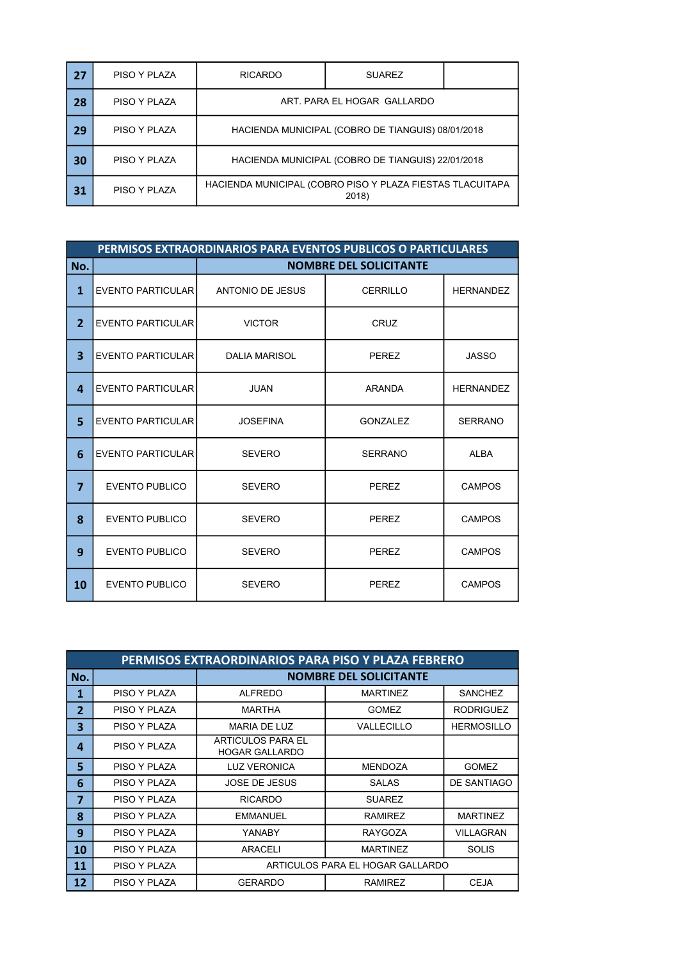| 27 | PISO Y PLAZA | <b>RICARDO</b>                                            | <b>SUAREZ</b> |  |
|----|--------------|-----------------------------------------------------------|---------------|--|
| 28 | PISO Y PLAZA | ART. PARA EL HOGAR GALLARDO                               |               |  |
| 29 | PISO Y PLAZA | HACIENDA MUNICIPAL (COBRO DE TIANGUIS) 08/01/2018         |               |  |
| 30 | PISO Y PLAZA | HACIENDA MUNICIPAL (COBRO DE TIANGUIS) 22/01/2018         |               |  |
| 31 | PISO Y PLAZA | HACIENDA MUNICIPAL (COBRO PISO Y PLAZA FIESTAS TLACUITAPA | 2018)         |  |

|                         | PERMISOS EXTRAORDINARIOS PARA EVENTOS PUBLICOS O PARTICULARES |                         |                               |                  |  |
|-------------------------|---------------------------------------------------------------|-------------------------|-------------------------------|------------------|--|
| No.                     |                                                               |                         | <b>NOMBRE DEL SOLICITANTE</b> |                  |  |
| $\mathbf{1}$            | EVENTO PARTICULAR                                             | <b>ANTONIO DE JESUS</b> | <b>CERRILLO</b>               | <b>HERNANDEZ</b> |  |
| $\overline{2}$          | EVENTO PARTICULAR                                             | <b>VICTOR</b>           | CRUZ                          |                  |  |
| $\overline{\mathbf{3}}$ | EVENTO PARTICULAR                                             | <b>DALIA MARISOL</b>    | <b>PEREZ</b>                  | JASSO            |  |
| 4                       | <b>EVENTO PARTICULAR</b>                                      | <b>JUAN</b>             | <b>ARANDA</b>                 | <b>HERNANDEZ</b> |  |
| 5                       | EVENTO PARTICULAR                                             | <b>JOSEFINA</b>         | <b>GONZALEZ</b>               | <b>SERRANO</b>   |  |
| 6                       | EVENTO PARTICULAR                                             | <b>SEVERO</b>           | <b>SERRANO</b>                | <b>ALBA</b>      |  |
| $\overline{7}$          | <b>EVENTO PUBLICO</b>                                         | <b>SEVERO</b>           | <b>PEREZ</b>                  | <b>CAMPOS</b>    |  |
| 8                       | EVENTO PUBLICO                                                | <b>SEVERO</b>           | <b>PEREZ</b>                  | <b>CAMPOS</b>    |  |
| 9                       | <b>EVENTO PUBLICO</b>                                         | <b>SEVERO</b>           | <b>PEREZ</b>                  | <b>CAMPOS</b>    |  |
| 10                      | EVENTO PUBLICO                                                | <b>SEVERO</b>           | PEREZ                         | <b>CAMPOS</b>    |  |

|                | PERMISOS EXTRAORDINARIOS PARA PISO Y PLAZA FEBRERO |                                            |                               |                   |  |
|----------------|----------------------------------------------------|--------------------------------------------|-------------------------------|-------------------|--|
| No.            |                                                    |                                            | <b>NOMBRE DEL SOLICITANTE</b> |                   |  |
| 1              | PISO Y PLAZA                                       | <b>ALFREDO</b>                             | <b>MARTINEZ</b>               | <b>SANCHEZ</b>    |  |
| $\overline{2}$ | PISO Y PLAZA                                       | <b>MARTHA</b>                              | <b>GOMEZ</b>                  | <b>RODRIGUEZ</b>  |  |
| 3              | PISO Y PLAZA                                       | MARIA DE LUZ                               | VALLECILLO                    | <b>HERMOSILLO</b> |  |
| 4              | PISO Y PLAZA                                       | ARTICULOS PARA EL<br><b>HOGAR GALLARDO</b> |                               |                   |  |
| 5              | PISO Y PLAZA                                       | <b>LUZ VERONICA</b>                        | <b>MENDOZA</b>                | <b>GOMEZ</b>      |  |
| 6              | PISO Y PLAZA                                       | <b>JOSE DE JESUS</b>                       | <b>SALAS</b>                  | DE SANTIAGO       |  |
| $\overline{7}$ | PISO Y PLAZA                                       | <b>RICARDO</b>                             | <b>SUAREZ</b>                 |                   |  |
| 8              | PISO Y PLAZA                                       | <b>EMMANUEL</b>                            | <b>RAMIREZ</b>                | <b>MARTINEZ</b>   |  |
| 9              | PISO Y PLAZA                                       | YANABY                                     | <b>RAYGOZA</b>                | VILLAGRAN         |  |
| 10             | PISO Y PLAZA                                       | ARACELI                                    | <b>MARTINEZ</b>               | <b>SOLIS</b>      |  |
| 11             | PISO Y PLAZA                                       | ARTICULOS PARA EL HOGAR GALLARDO           |                               |                   |  |
| 12             | PISO Y PLAZA                                       | <b>GERARDO</b>                             | <b>RAMIREZ</b>                | <b>CEJA</b>       |  |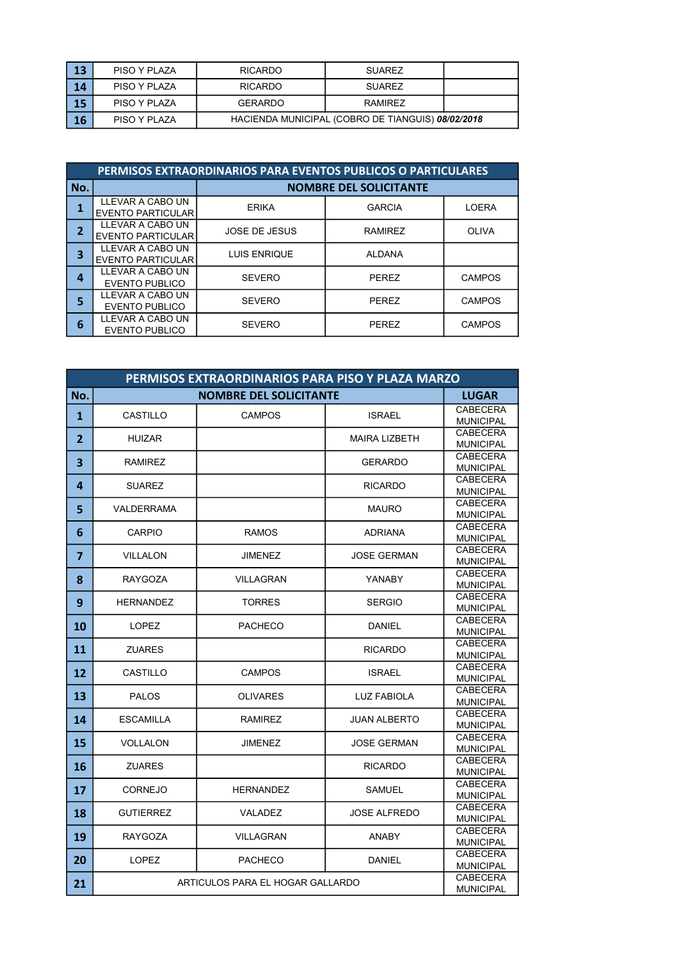| 13 | PISO Y PLAZA | <b>RICARDO</b>                                    | <b>SUAREZ</b> |  |
|----|--------------|---------------------------------------------------|---------------|--|
| 14 | PISO Y PLAZA | <b>RICARDO</b>                                    | <b>SUAREZ</b> |  |
| 15 | PISO Y PLAZA | <b>GERARDO</b>                                    | RAMIRF7       |  |
| 16 | PISO Y PLAZA | HACIENDA MUNICIPAL (COBRO DE TIANGUIS) 08/02/2018 |               |  |

|                | <b>PERMISOS EXTRAORDINARIOS PARA EVENTOS PUBLICOS O PARTICULARES</b> |                               |                |               |
|----------------|----------------------------------------------------------------------|-------------------------------|----------------|---------------|
| No.            |                                                                      | <b>NOMBRE DEL SOLICITANTE</b> |                |               |
|                | LLEVAR A CABO UN<br><b>EVENTO PARTICULAR</b>                         | <b>ERIKA</b>                  | <b>GARCIA</b>  | <b>LOERA</b>  |
| $\overline{2}$ | LLEVAR A CABO UN<br><b>EVENTO PARTICULAR</b>                         | <b>JOSE DE JESUS</b>          | <b>RAMIREZ</b> | <b>OLIVA</b>  |
| 3              | LLEVAR A CABO UN<br><b>EVENTO PARTICULAR</b>                         | <b>LUIS ENRIQUE</b>           | <b>ALDANA</b>  |               |
| 4              | LLEVAR A CABO UN<br><b>EVENTO PUBLICO</b>                            | <b>SEVERO</b>                 | PEREZ          | <b>CAMPOS</b> |
| 5              | LLEVAR A CABO UN<br><b>EVENTO PUBLICO</b>                            | <b>SEVERO</b>                 | <b>PEREZ</b>   | <b>CAMPOS</b> |
| 6              | LLEVAR A CABO UN<br><b>EVENTO PUBLICO</b>                            | <b>SEVERO</b>                 | PEREZ          | <b>CAMPOS</b> |

|                | PERMISOS EXTRAORDINARIOS PARA PISO Y PLAZA MARZO |                                  |                      |                                     |
|----------------|--------------------------------------------------|----------------------------------|----------------------|-------------------------------------|
| No.            |                                                  | <b>NOMBRE DEL SOLICITANTE</b>    |                      | <b>LUGAR</b>                        |
| 1              | <b>CASTILLO</b>                                  | <b>CAMPOS</b>                    | <b>ISRAEL</b>        | <b>CABECERA</b>                     |
|                |                                                  |                                  |                      | <b>MUNICIPAL</b><br><b>CABECERA</b> |
| $\overline{2}$ | <b>HUIZAR</b>                                    |                                  | <b>MAIRA LIZBETH</b> | <b>MUNICIPAL</b>                    |
| 3              | <b>RAMIREZ</b>                                   |                                  | <b>GERARDO</b>       | <b>CABECERA</b>                     |
|                |                                                  |                                  |                      | <b>MUNICIPAL</b><br><b>CABECERA</b> |
| 4              | <b>SUAREZ</b>                                    |                                  | <b>RICARDO</b>       | <b>MUNICIPAL</b>                    |
| 5              | <b>VALDERRAMA</b>                                |                                  | <b>MAURO</b>         | <b>CABECERA</b>                     |
|                |                                                  |                                  |                      | <b>MUNICIPAL</b>                    |
| 6              | <b>CARPIO</b>                                    | <b>RAMOS</b>                     | <b>ADRIANA</b>       | <b>CABECERA</b><br><b>MUNICIPAL</b> |
|                |                                                  |                                  |                      | <b>CABECERA</b>                     |
| $\overline{7}$ | <b>VILLALON</b>                                  | <b>JIMENEZ</b>                   | <b>JOSE GERMAN</b>   | <b>MUNICIPAL</b>                    |
| 8              | <b>RAYGOZA</b>                                   | <b>VILLAGRAN</b>                 | <b>YANABY</b>        | <b>CABECERA</b>                     |
|                |                                                  |                                  |                      | <b>MUNICIPAL</b><br><b>CABECERA</b> |
| 9              | <b>HERNANDEZ</b>                                 | <b>TORRES</b>                    | <b>SERGIO</b>        | <b>MUNICIPAL</b>                    |
| 10             | <b>LOPEZ</b>                                     | <b>PACHECO</b>                   | <b>DANIEL</b>        | <b>CABECERA</b>                     |
|                |                                                  |                                  |                      | <b>MUNICIPAL</b>                    |
| 11             | <b>ZUARES</b>                                    |                                  | <b>RICARDO</b>       | <b>CABECERA</b><br><b>MUNICIPAL</b> |
|                |                                                  |                                  |                      | <b>CABECERA</b>                     |
| 12             | CASTILLO                                         | <b>CAMPOS</b>                    | <b>ISRAEL</b>        | <b>MUNICIPAL</b>                    |
| 13             | <b>PALOS</b>                                     | <b>OLIVARES</b>                  | <b>LUZ FABIOLA</b>   | <b>CABECERA</b>                     |
|                |                                                  |                                  |                      | <b>MUNICIPAL</b><br><b>CABECERA</b> |
| 14             | <b>ESCAMILLA</b>                                 | <b>RAMIREZ</b>                   | <b>JUAN ALBERTO</b>  | <b>MUNICIPAL</b>                    |
| 15             | <b>VOLLALON</b>                                  | <b>JIMENEZ</b>                   | <b>JOSE GERMAN</b>   | <b>CABECERA</b>                     |
|                |                                                  |                                  |                      | <b>MUNICIPAL</b><br><b>CABECERA</b> |
| 16             | <b>ZUARES</b>                                    |                                  | <b>RICARDO</b>       | <b>MUNICIPAL</b>                    |
|                |                                                  |                                  |                      | <b>CABECERA</b>                     |
| 17             | <b>CORNEJO</b>                                   | <b>HERNANDEZ</b>                 | <b>SAMUEL</b>        | <b>MUNICIPAL</b>                    |
| 18             | <b>GUTIERREZ</b>                                 | VALADEZ                          | <b>JOSE ALFREDO</b>  | <b>CABECERA</b>                     |
|                |                                                  |                                  |                      | <b>MUNICIPAL</b><br><b>CABECERA</b> |
| 19             | <b>RAYGOZA</b>                                   | <b>VILLAGRAN</b>                 | <b>ANABY</b>         | <b>MUNICIPAL</b>                    |
| 20             | <b>LOPEZ</b>                                     | <b>PACHECO</b>                   | <b>DANIEL</b>        | <b>CABECERA</b>                     |
|                |                                                  |                                  |                      | <b>MUNICIPAL</b>                    |
| 21             |                                                  | ARTICULOS PARA EL HOGAR GALLARDO |                      | <b>CABECERA</b><br><b>MUNICIPAL</b> |
|                |                                                  |                                  |                      |                                     |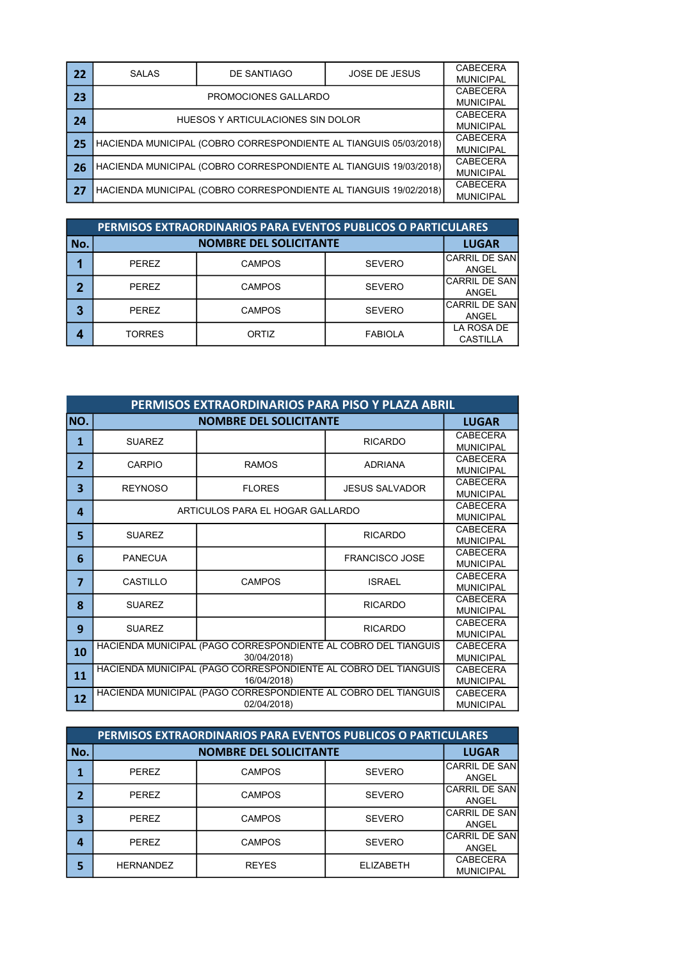| 22 | <b>SALAS</b>                                                      | DE SANTIAGO                       | <b>JOSE DE JESUS</b> | CABECERA         |
|----|-------------------------------------------------------------------|-----------------------------------|----------------------|------------------|
|    |                                                                   |                                   |                      | <b>MUNICIPAL</b> |
| 23 |                                                                   | PROMOCIONES GALLARDO              |                      | CABECERA         |
|    |                                                                   |                                   |                      | <b>MUNICIPAL</b> |
| 24 |                                                                   | HUESOS Y ARTICULACIONES SIN DOLOR |                      | CABECERA         |
|    |                                                                   |                                   |                      | <b>MUNICIPAL</b> |
| 25 | HACIENDA MUNICIPAL (COBRO CORRESPONDIENTE AL TIANGUIS 05/03/2018) |                                   |                      | CABECERA         |
|    |                                                                   |                                   |                      |                  |
|    |                                                                   |                                   |                      | CABECERA         |
| 26 | HACIENDA MUNICIPAL (COBRO CORRESPONDIENTE AL TIANGUIS 19/03/2018) |                                   |                      | <b>MUNICIPAL</b> |
| 27 | HACIENDA MUNICIPAL (COBRO CORRESPONDIENTE AL TIANGUIS 19/02/2018) |                                   |                      | CABECERA         |
|    |                                                                   |                                   |                      | <b>MUNICIPAL</b> |

|             | <b>PERMISOS EXTRAORDINARIOS PARA EVENTOS PUBLICOS O PARTICULARES</b> |               |                |                               |  |
|-------------|----------------------------------------------------------------------|---------------|----------------|-------------------------------|--|
| No.         |                                                                      | <b>LUGAR</b>  |                |                               |  |
|             | <b>PEREZ</b>                                                         | <b>CAMPOS</b> | <b>SEVERO</b>  | <b>CARRIL DE SAN</b><br>ANGEL |  |
| $\mathbf 2$ | <b>PEREZ</b>                                                         | <b>CAMPOS</b> | <b>SEVERO</b>  | <b>CARRIL DE SAN</b><br>ANGEL |  |
| 3           | <b>PEREZ</b>                                                         | <b>CAMPOS</b> | <b>SEVERO</b>  | <b>CARRIL DE SAN</b><br>ANGEL |  |
| 4           | TORRES                                                               | ORTIZ         | <b>FABIOLA</b> | LA ROSA DE<br><b>CASTILLA</b> |  |

|                | PERMISOS EXTRAORDINARIOS PARA PISO Y PLAZA ABRIL                              |                                                                                              |                       |                                     |  |
|----------------|-------------------------------------------------------------------------------|----------------------------------------------------------------------------------------------|-----------------------|-------------------------------------|--|
| NO.            | <b>NOMBRE DEL SOLICITANTE</b>                                                 |                                                                                              |                       | <b>LUGAR</b>                        |  |
| 1              | <b>SUAREZ</b>                                                                 |                                                                                              | <b>RICARDO</b>        | CABECERA<br><b>MUNICIPAL</b>        |  |
| $\overline{2}$ | CARPIO                                                                        | <b>RAMOS</b>                                                                                 | <b>ADRIANA</b>        | CABECERA<br><b>MUNICIPAL</b>        |  |
| 3              | <b>REYNOSO</b>                                                                | <b>FLORES</b>                                                                                | <b>JESUS SALVADOR</b> | CABECERA<br><b>MUNICIPAL</b>        |  |
| 4              | ARTICULOS PARA EL HOGAR GALLARDO                                              |                                                                                              |                       | CABECERA<br><b>MUNICIPAL</b>        |  |
| 5              | <b>SUAREZ</b>                                                                 |                                                                                              | <b>RICARDO</b>        | CABECERA<br><b>MUNICIPAL</b>        |  |
| 6              | <b>PANECUA</b>                                                                |                                                                                              | <b>FRANCISCO JOSE</b> | CABECERA<br><b>MUNICIPAL</b>        |  |
| $\overline{7}$ | CASTILLO                                                                      | <b>CAMPOS</b>                                                                                | <b>ISRAEL</b>         | <b>CABECERA</b><br><b>MUNICIPAL</b> |  |
| 8              | <b>SUAREZ</b>                                                                 |                                                                                              | <b>RICARDO</b>        | CABECERA<br><b>MUNICIPAL</b>        |  |
| 9              | <b>SUAREZ</b>                                                                 |                                                                                              | <b>RICARDO</b>        | CABECERA<br><b>MUNICIPAL</b>        |  |
| 10             | HACIENDA MUNICIPAL (PAGO CORRESPONDIENTE AL COBRO DEL TIANGUIS<br>30/04/2018) |                                                                                              |                       | CABECERA<br><b>MUNICIPAL</b>        |  |
| 11             | HACIENDA MUNICIPAL (PAGO CORRESPONDIENTE AL COBRO DEL TIANGUIS                | <b>CABECERA</b><br><b>MUNICIPAL</b>                                                          |                       |                                     |  |
| 12             |                                                                               | 16/04/2018)<br>HACIENDA MUNICIPAL (PAGO CORRESPONDIENTE AL COBRO DEL TIANGUIS<br>02/04/2018) |                       | CABECERA<br><b>MUNICIPAL</b>        |  |

|                | PERMISOS EXTRAORDINARIOS PARA EVENTOS PUBLICOS O PARTICULARES |                               |                  |                                       |  |  |
|----------------|---------------------------------------------------------------|-------------------------------|------------------|---------------------------------------|--|--|
| No.            |                                                               | <b>NOMBRE DEL SOLICITANTE</b> |                  |                                       |  |  |
| 1              | <b>PEREZ</b>                                                  | <b>CAMPOS</b>                 | <b>SEVERO</b>    | <b>CARRIL DE SAN</b><br>ANGEL         |  |  |
| $\overline{2}$ | PEREZ                                                         | <b>CAMPOS</b>                 | <b>SEVERO</b>    | <b>CARRIL DE SANI</b><br>ANGEL        |  |  |
| 3              | PEREZ                                                         | <b>CAMPOS</b>                 | <b>SEVERO</b>    | <b>CARRIL DE SAN</b><br>ANGEL         |  |  |
| 4              | PEREZ                                                         | <b>CAMPOS</b>                 | <b>SEVERO</b>    | <b>CARRIL DE SANI</b><br><b>ANGEL</b> |  |  |
| 5              | <b>HERNANDEZ</b>                                              | <b>REYES</b>                  | <b>ELIZABETH</b> | <b>CABECERA</b><br><b>MUNICIPAL</b>   |  |  |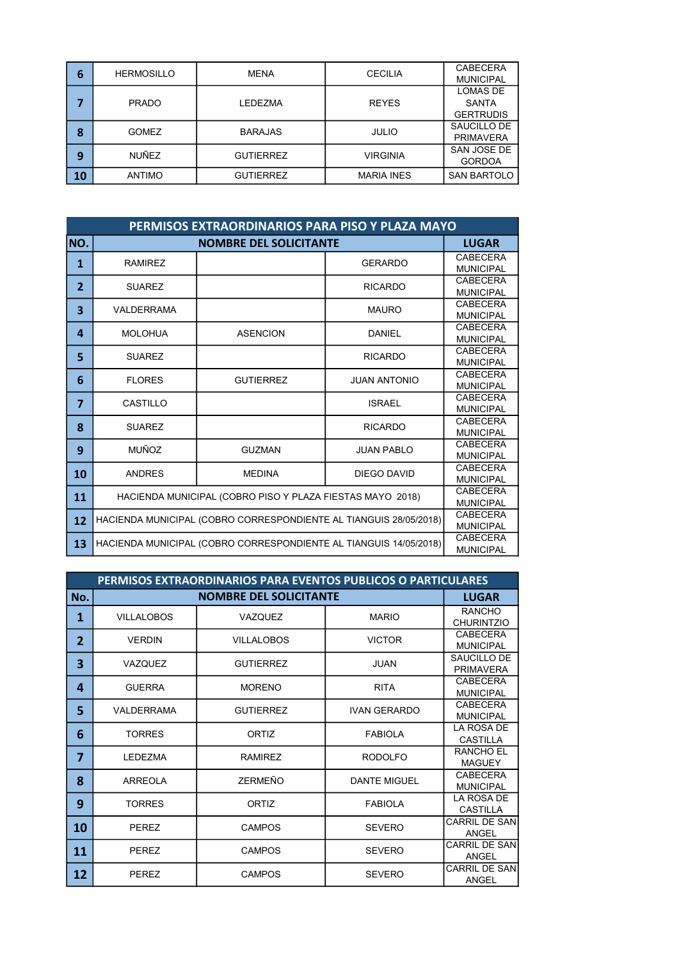| 6  | <b>HERMOSILLO</b> | <b>MENA</b>      | <b>CECILIA</b>    | <b>CABECERA</b>    |
|----|-------------------|------------------|-------------------|--------------------|
|    |                   |                  |                   | <b>MUNICIPAL</b>   |
|    |                   |                  |                   | LOMAS DE           |
|    | <b>PRADO</b>      | LEDEZMA          | <b>REYES</b>      | <b>SANTA</b>       |
|    |                   |                  |                   | <b>GERTRUDIS</b>   |
| 8  | <b>GOMEZ</b>      | <b>BARAJAS</b>   |                   | SAUCILLO DE        |
|    |                   |                  | <b>JULIO</b>      | <b>PRIMAVERA</b>   |
|    | <b>NUÑEZ</b>      | <b>GUTIERREZ</b> | <b>VIRGINIA</b>   | SAN JOSE DE        |
| 9  |                   |                  |                   | <b>GORDOA</b>      |
| 10 | <b>ANTIMO</b>     | <b>GUTIERREZ</b> | <b>MARIA INES</b> | <b>SAN BARTOLO</b> |
|    |                   |                  |                   |                    |

|                | PERMISOS EXTRAORDINARIOS PARA PISO Y PLAZA MAYO                   |                                                                   |                     |                                     |  |
|----------------|-------------------------------------------------------------------|-------------------------------------------------------------------|---------------------|-------------------------------------|--|
| NO.            |                                                                   | <b>NOMBRE DEL SOLICITANTE</b>                                     |                     | <b>LUGAR</b>                        |  |
| $\mathbf{1}$   | <b>RAMIREZ</b>                                                    |                                                                   | <b>GERARDO</b>      | CABECERA<br><b>MUNICIPAL</b>        |  |
| $\overline{2}$ | <b>SUAREZ</b>                                                     |                                                                   | <b>RICARDO</b>      | <b>CABECERA</b><br><b>MUNICIPAL</b> |  |
| 3              | <b>VALDERRAMA</b>                                                 |                                                                   | <b>MAURO</b>        | <b>CABECERA</b><br><b>MUNICIPAL</b> |  |
| 4              | <b>MOLOHUA</b>                                                    | <b>ASENCION</b>                                                   | <b>DANIEL</b>       | <b>CABECERA</b><br><b>MUNICIPAL</b> |  |
| 5              | <b>SUAREZ</b>                                                     |                                                                   | <b>RICARDO</b>      | CABECERA<br><b>MUNICIPAL</b>        |  |
| 6              | <b>FLORES</b>                                                     | <b>GUTIERREZ</b>                                                  | <b>JUAN ANTONIO</b> | <b>CABECERA</b><br><b>MUNICIPAL</b> |  |
| $\overline{7}$ | CASTILLO                                                          |                                                                   | <b>ISRAEL</b>       | <b>CABECERA</b><br><b>MUNICIPAL</b> |  |
| 8              | SUARF7                                                            |                                                                   | <b>RICARDO</b>      | <b>CABECERA</b><br><b>MUNICIPAL</b> |  |
| 9              | <b>MUÑOZ</b>                                                      | <b>GUZMAN</b>                                                     | <b>JUAN PABLO</b>   | <b>CABECERA</b><br><b>MUNICIPAL</b> |  |
| 10             | <b>ANDRES</b>                                                     | <b>MEDINA</b>                                                     | <b>DIEGO DAVID</b>  | <b>CABECERA</b><br><b>MUNICIPAL</b> |  |
| 11             | HACIENDA MUNICIPAL (COBRO PISO Y PLAZA FIESTAS MAYO 2018)         |                                                                   |                     | <b>CABECERA</b><br><b>MUNICIPAL</b> |  |
| 12             | HACIENDA MUNICIPAL (COBRO CORRESPONDIENTE AL TIANGUIS 28/05/2018) |                                                                   |                     |                                     |  |
| 13             |                                                                   | HACIENDA MUNICIPAL (COBRO CORRESPONDIENTE AL TIANGUIS 14/05/2018) |                     | <b>CABECERA</b><br><b>MUNICIPAL</b> |  |

|                | PERMISOS EXTRAORDINARIOS PARA EVENTOS PUBLICOS O PARTICULARES |                               |                     |                                      |  |
|----------------|---------------------------------------------------------------|-------------------------------|---------------------|--------------------------------------|--|
| No.            |                                                               | <b>NOMBRE DEL SOLICITANTE</b> |                     | <b>LUGAR</b>                         |  |
| 1              | <b>VILLALOBOS</b>                                             | VAZQUEZ                       | <b>MARIO</b>        | <b>RANCHO</b><br><b>CHURINTZIO</b>   |  |
| $\overline{2}$ | <b>VERDIN</b>                                                 | <b>VILLALOBOS</b>             | <b>VICTOR</b>       | CABECERA<br><b>MUNICIPAL</b>         |  |
| 3              | <b>VAZQUEZ</b>                                                | <b>GUTIERREZ</b>              | <b>JUAN</b>         | SAUCILLO DE<br><b>PRIMAVERA</b>      |  |
| 4              | <b>GUERRA</b>                                                 | MORENO                        | <b>RITA</b>         | CABECERA<br><b>MUNICIPAL</b>         |  |
| 5              | VALDERRAMA                                                    | <b>GUTIERREZ</b>              | <b>IVAN GERARDO</b> | <b>CABECERA</b><br><b>MUNICIPAL</b>  |  |
| 6              | <b>TORRES</b>                                                 | <b>ORTIZ</b>                  | <b>FABIOLA</b>      | LA ROSA DE<br><b>CASTILLA</b>        |  |
| 7              | <b>LEDEZMA</b>                                                | <b>RAMIREZ</b>                | <b>RODOLFO</b>      | <b>RANCHO EL</b><br><b>MAGUEY</b>    |  |
| 8              | <b>ARREOLA</b>                                                | <b>ZERMEÑO</b>                | <b>DANTE MIGUEL</b> | <b>CABECERA</b><br><b>MUNICIPAL</b>  |  |
| 9              | <b>TORRES</b>                                                 | ORTIZ                         | <b>FABIOLA</b>      | <b>LA ROSA DE</b><br><b>CASTILLA</b> |  |
| 10             | PEREZ                                                         | <b>CAMPOS</b>                 | <b>SEVERO</b>       | <b>CARRIL DE SAN</b><br>ANGEL        |  |
| 11             | <b>PEREZ</b>                                                  | <b>CAMPOS</b>                 | <b>SEVERO</b>       | CARRIL DE SAN <b>I</b><br>ANGEL      |  |
| 12             | <b>PEREZ</b>                                                  | <b>CAMPOS</b>                 | <b>SEVERO</b>       | <b>CARRIL DE SANI</b><br>ANGEL       |  |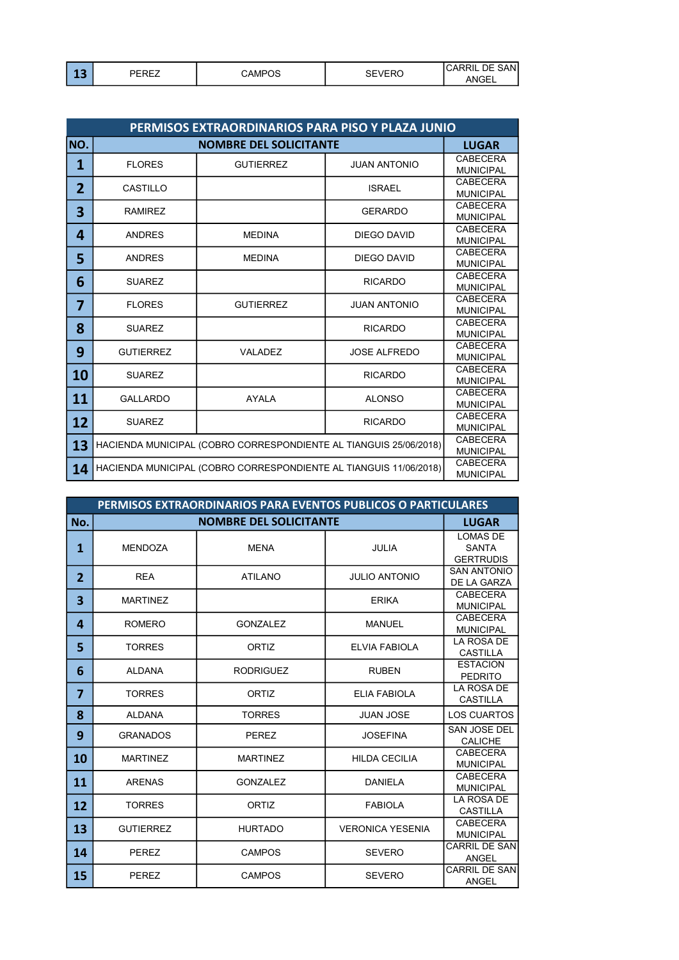| . .<br>-- | ----<br>эπ<br>∼ | $\sim$<br>`AMP、<br>ບະ<br>∽ | $- - -$<br>◡∟<br>- 17 | SANl<br>٦F<br>6 I<br>◡₼г<br>$\mathbf{M}$<br>∟⊐טי<br>AIV. |
|-----------|-----------------|----------------------------|-----------------------|----------------------------------------------------------|
|-----------|-----------------|----------------------------|-----------------------|----------------------------------------------------------|

|                | PERMISOS EXTRAORDINARIOS PARA PISO Y PLAZA JUNIO                  |                                                                   |                     |                                     |  |
|----------------|-------------------------------------------------------------------|-------------------------------------------------------------------|---------------------|-------------------------------------|--|
| NO.            |                                                                   | <b>NOMBRE DEL SOLICITANTE</b>                                     |                     |                                     |  |
| 1              | <b>FLORES</b>                                                     | <b>GUTIERREZ</b>                                                  | <b>JUAN ANTONIO</b> | <b>CABECERA</b><br><b>MUNICIPAL</b> |  |
| $\overline{2}$ | <b>CASTILLO</b>                                                   |                                                                   | <b>ISRAEL</b>       | <b>CABECERA</b><br><b>MUNICIPAL</b> |  |
| 3              | <b>RAMIREZ</b>                                                    |                                                                   | <b>GERARDO</b>      | <b>CABECERA</b><br><b>MUNICIPAL</b> |  |
| 4              | <b>ANDRES</b>                                                     | <b>MEDINA</b>                                                     | DIEGO DAVID         | <b>CABECERA</b><br><b>MUNICIPAL</b> |  |
| 5              | <b>ANDRES</b>                                                     | <b>MEDINA</b>                                                     | <b>DIEGO DAVID</b>  | <b>CABECERA</b><br><b>MUNICIPAL</b> |  |
| 6              | <b>SUAREZ</b>                                                     |                                                                   | <b>RICARDO</b>      | <b>CABECERA</b><br><b>MUNICIPAL</b> |  |
| 7              | <b>FLORES</b>                                                     | <b>GUTIERREZ</b>                                                  | <b>JUAN ANTONIO</b> | <b>CABECERA</b><br><b>MUNICIPAL</b> |  |
| 8              | <b>SUAREZ</b>                                                     |                                                                   | <b>RICARDO</b>      | <b>CABECERA</b><br><b>MUNICIPAL</b> |  |
| 9              | <b>GUTIERREZ</b>                                                  | VALADEZ                                                           | <b>JOSE ALFREDO</b> | <b>CABECERA</b><br><b>MUNICIPAL</b> |  |
| 10             | <b>SUAREZ</b>                                                     |                                                                   | <b>RICARDO</b>      | <b>CABECERA</b><br><b>MUNICIPAL</b> |  |
| 11             | <b>GALLARDO</b>                                                   | <b>AYALA</b>                                                      | <b>ALONSO</b>       | <b>CABECERA</b><br><b>MUNICIPAL</b> |  |
| 12             | <b>SUAREZ</b>                                                     |                                                                   | <b>RICARDO</b>      | <b>CABECERA</b><br><b>MUNICIPAL</b> |  |
| 13             | HACIENDA MUNICIPAL (COBRO CORRESPONDIENTE AL TIANGUIS 25/06/2018) | <b>CABECERA</b><br><b>MUNICIPAL</b>                               |                     |                                     |  |
| 14             |                                                                   | HACIENDA MUNICIPAL (COBRO CORRESPONDIENTE AL TIANGUIS 11/06/2018) |                     | <b>CABECERA</b><br><b>MUNICIPAL</b> |  |

|                | PERMISOS EXTRAORDINARIOS PARA EVENTOS PUBLICOS O PARTICULARES |                               |                         |                                                     |  |
|----------------|---------------------------------------------------------------|-------------------------------|-------------------------|-----------------------------------------------------|--|
| No.            |                                                               | <b>NOMBRE DEL SOLICITANTE</b> |                         | <b>LUGAR</b>                                        |  |
| 1              | <b>MENDOZA</b>                                                | <b>MENA</b>                   | <b>JULIA</b>            | <b>LOMAS DE</b><br><b>SANTA</b><br><b>GERTRUDIS</b> |  |
| $\overline{2}$ | <b>REA</b>                                                    | <b>ATILANO</b>                | <b>JULIO ANTONIO</b>    | <b>SAN ANTONIO</b><br>DE LA GARZA                   |  |
| 3              | <b>MARTINEZ</b>                                               |                               | <b>ERIKA</b>            | <b>CABECERA</b><br><b>MUNICIPAL</b>                 |  |
| 4              | <b>ROMERO</b>                                                 | <b>GONZALEZ</b>               | <b>MANUEL</b>           | <b>CABECERA</b><br><b>MUNICIPAL</b>                 |  |
| 5              | <b>TORRES</b>                                                 | <b>ORTIZ</b>                  | ELVIA FABIOLA           | LA ROSA DE<br><b>CASTILLA</b>                       |  |
| 6              | <b>ALDANA</b>                                                 | <b>RODRIGUEZ</b>              | <b>RUBEN</b>            | <b>ESTACION</b><br><b>PEDRITO</b>                   |  |
| 7              | <b>TORRES</b>                                                 | ORTIZ                         | ELIA FABIOLA            | <b>LA ROSA DE</b><br><b>CASTILLA</b>                |  |
| 8              | <b>ALDANA</b>                                                 | <b>TORRES</b>                 | <b>JUAN JOSE</b>        | <b>LOS CUARTOS</b>                                  |  |
| 9              | <b>GRANADOS</b>                                               | <b>PEREZ</b>                  | <b>JOSEFINA</b>         | <b>SAN JOSE DEL</b><br><b>CALICHE</b>               |  |
| 10             | <b>MARTINEZ</b>                                               | <b>MARTINEZ</b>               | <b>HILDA CECILIA</b>    | <b>CABECERA</b><br><b>MUNICIPAL</b>                 |  |
| 11             | <b>ARENAS</b>                                                 | <b>GONZALEZ</b>               | <b>DANIELA</b>          | <b>CABECERA</b><br><b>MUNICIPAL</b>                 |  |
| 12             | <b>TORRES</b>                                                 | <b>ORTIZ</b>                  | <b>FABIOLA</b>          | LA ROSA DE<br><b>CASTILLA</b>                       |  |
| 13             | <b>GUTIERREZ</b>                                              | <b>HURTADO</b>                | <b>VERONICA YESENIA</b> | <b>CABECERA</b><br><b>MUNICIPAL</b>                 |  |
| 14             | <b>PEREZ</b>                                                  | <b>CAMPOS</b>                 | <b>SEVERO</b>           | CARRIL DE SAN<br><b>ANGEL</b>                       |  |
| 15             | <b>PEREZ</b>                                                  | <b>CAMPOS</b>                 | <b>SEVERO</b>           | CARRIL DE SAN<br>ANGEL                              |  |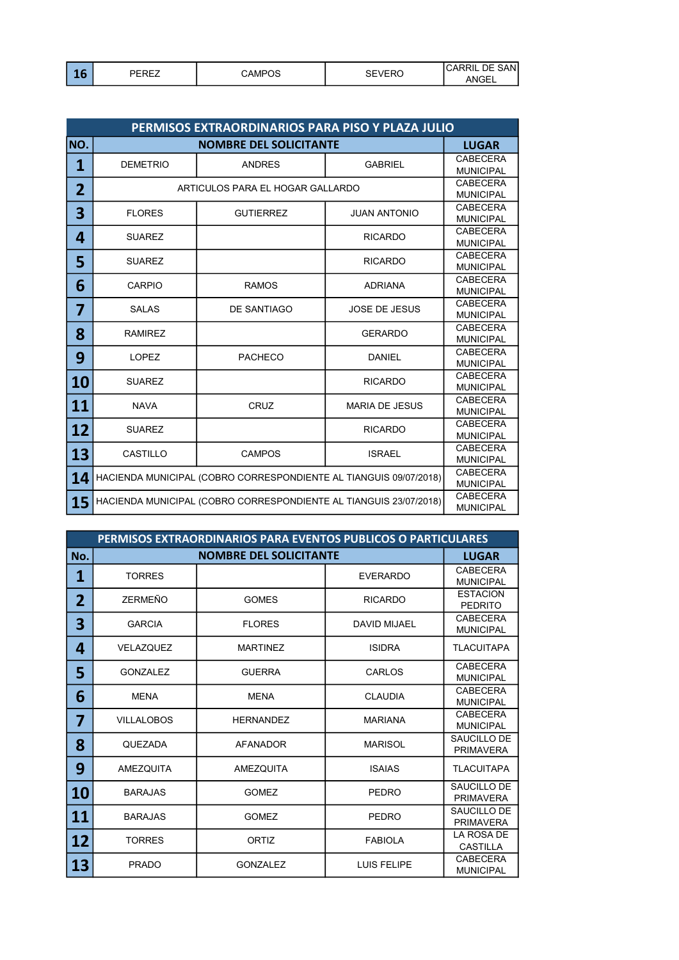| . .<br>- 9 | ,-n-7<br>.<br>--<br>∼<br>_ | CAMP∩^ | $5-7$<br>--<br>◡∟<br>$-1$ | SANl<br>٦F<br>ćΠ<br>.UAF<br>10T<br>∟⊐ט'<br>AIV. |
|------------|----------------------------|--------|---------------------------|-------------------------------------------------|
|------------|----------------------------|--------|---------------------------|-------------------------------------------------|

|                         | PERMISOS EXTRAORDINARIOS PARA PISO Y PLAZA JULIO |                                                                   |                       |                                     |  |
|-------------------------|--------------------------------------------------|-------------------------------------------------------------------|-----------------------|-------------------------------------|--|
| NO.                     |                                                  | <b>NOMBRE DEL SOLICITANTE</b>                                     |                       | <b>LUGAR</b>                        |  |
| $\overline{\mathbf{1}}$ | <b>DEMETRIO</b>                                  | <b>ANDRES</b>                                                     | <b>GABRIEL</b>        | <b>CABECERA</b><br><b>MUNICIPAL</b> |  |
| $\overline{2}$          |                                                  | ARTICULOS PARA EL HOGAR GALLARDO                                  |                       | <b>CABECERA</b><br><b>MUNICIPAL</b> |  |
| 3                       | <b>FLORES</b>                                    | <b>GUTIERREZ</b>                                                  | <b>JUAN ANTONIO</b>   | <b>CABECERA</b><br><b>MUNICIPAL</b> |  |
| 4                       | <b>SUAREZ</b>                                    |                                                                   | <b>RICARDO</b>        | <b>CABECERA</b><br><b>MUNICIPAL</b> |  |
| 5                       | <b>SUAREZ</b>                                    |                                                                   | <b>RICARDO</b>        | <b>CABECERA</b><br><b>MUNICIPAL</b> |  |
| 6                       | CARPIO                                           | <b>RAMOS</b>                                                      | <b>ADRIANA</b>        | <b>CABECERA</b><br><b>MUNICIPAL</b> |  |
| 7                       | <b>SALAS</b>                                     | <b>DE SANTIAGO</b>                                                | <b>JOSE DE JESUS</b>  | <b>CABECERA</b><br><b>MUNICIPAL</b> |  |
| 8                       | <b>RAMIREZ</b>                                   |                                                                   | <b>GERARDO</b>        | <b>CABECERA</b><br><b>MUNICIPAL</b> |  |
| 9                       | <b>LOPEZ</b>                                     | <b>PACHECO</b>                                                    | <b>DANIEL</b>         | <b>CABECERA</b><br><b>MUNICIPAL</b> |  |
| 10                      | <b>SUAREZ</b>                                    |                                                                   | <b>RICARDO</b>        | <b>CABECERA</b><br><b>MUNICIPAL</b> |  |
| 11                      | <b>NAVA</b>                                      | CRUZ                                                              | <b>MARIA DE JESUS</b> | <b>CABECERA</b><br><b>MUNICIPAL</b> |  |
| 12                      | <b>SUAREZ</b>                                    |                                                                   | <b>RICARDO</b>        | <b>CABECERA</b><br><b>MUNICIPAL</b> |  |
| 13                      | <b>CASTILLO</b>                                  | <b>CAMPOS</b>                                                     | <b>ISRAEL</b>         | <b>CABECERA</b><br><b>MUNICIPAL</b> |  |
| 14                      |                                                  | HACIENDA MUNICIPAL (COBRO CORRESPONDIENTE AL TIANGUIS 09/07/2018) |                       | <b>CABECERA</b><br><b>MUNICIPAL</b> |  |
| 15                      |                                                  | HACIENDA MUNICIPAL (COBRO CORRESPONDIENTE AL TIANGUIS 23/07/2018) |                       | <b>CABECERA</b><br><b>MUNICIPAL</b> |  |

|                | PERMISOS EXTRAORDINARIOS PARA EVENTOS PUBLICOS O PARTICULARES |                               |                     |                                     |  |
|----------------|---------------------------------------------------------------|-------------------------------|---------------------|-------------------------------------|--|
| No.            |                                                               | <b>NOMBRE DEL SOLICITANTE</b> |                     | <b>LUGAR</b>                        |  |
| 1              | <b>TORRES</b>                                                 |                               | <b>EVERARDO</b>     | <b>CABECERA</b><br><b>MUNICIPAL</b> |  |
| $\overline{2}$ | ZERMEÑO                                                       | <b>GOMES</b>                  | <b>RICARDO</b>      | <b>ESTACION</b><br><b>PEDRITO</b>   |  |
| 3              | <b>GARCIA</b>                                                 | <b>FLORES</b>                 | <b>DAVID MIJAEL</b> | <b>CABECERA</b><br><b>MUNICIPAL</b> |  |
| 4              | <b>VELAZQUEZ</b>                                              | <b>MARTINEZ</b>               | <b>ISIDRA</b>       | <b>TLACUITAPA</b>                   |  |
| 5              | <b>GONZALEZ</b>                                               | <b>GUERRA</b>                 | CARLOS              | <b>CABECERA</b><br><b>MUNICIPAL</b> |  |
| 6              | <b>MENA</b>                                                   | <b>MENA</b>                   | <b>CLAUDIA</b>      | <b>CABECERA</b><br><b>MUNICIPAL</b> |  |
| 7              | <b>VILLALOBOS</b>                                             | <b>HERNANDEZ</b>              | <b>MARIANA</b>      | <b>CABECERA</b><br><b>MUNICIPAL</b> |  |
| 8              | <b>QUEZADA</b>                                                | <b>AFANADOR</b>               | <b>MARISOL</b>      | SAUCILLO DE<br><b>PRIMAVERA</b>     |  |
| 9              | <b>AMEZQUITA</b>                                              | <b>AMEZQUITA</b>              | <b>ISAIAS</b>       | <b>TLACUITAPA</b>                   |  |
| 10             | <b>BARAJAS</b>                                                | <b>GOMEZ</b>                  | <b>PEDRO</b>        | SAUCILLO DE<br><b>PRIMAVERA</b>     |  |
| 11             | <b>BARAJAS</b>                                                | <b>GOMEZ</b>                  | <b>PEDRO</b>        | SAUCILLO DE<br><b>PRIMAVERA</b>     |  |
| 12             | <b>TORRES</b>                                                 | <b>ORTIZ</b>                  | <b>FABIOLA</b>      | LA ROSA DE<br><b>CASTILLA</b>       |  |
| 13             | <b>PRADO</b>                                                  | <b>GONZALEZ</b>               | <b>LUIS FELIPE</b>  | <b>CABECERA</b><br><b>MUNICIPAL</b> |  |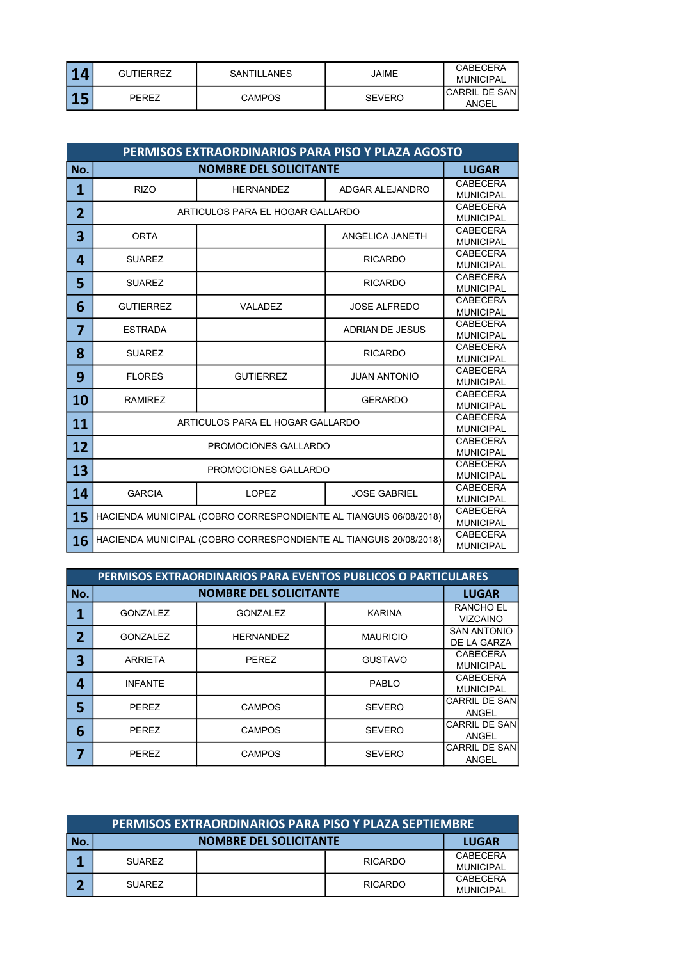| Δ<br>- | <b>GUTIERREZ</b> | SANTILLANES   | JAIME         | <b>CABECERA</b><br>MUNICIPAL |
|--------|------------------|---------------|---------------|------------------------------|
|        | PEREZ            | <b>CAMPOS</b> | <b>SEVERO</b> | ICARRIL DE SANI<br>ANGEL     |

|                | PERMISOS EXTRAORDINARIOS PARA PISO Y PLAZA AGOSTO |                                                                   |                        |                                     |  |
|----------------|---------------------------------------------------|-------------------------------------------------------------------|------------------------|-------------------------------------|--|
| No.            |                                                   | <b>NOMBRE DEL SOLICITANTE</b>                                     |                        | <b>LUGAR</b>                        |  |
| $\mathbf{1}$   | <b>RIZO</b>                                       | <b>HERNANDEZ</b>                                                  | ADGAR ALEJANDRO        | <b>CABECERA</b><br><b>MUNICIPAL</b> |  |
| $\overline{2}$ |                                                   | ARTICULOS PARA EL HOGAR GALLARDO                                  |                        | <b>CABECERA</b><br><b>MUNICIPAL</b> |  |
| 3              | <b>ORTA</b>                                       |                                                                   | ANGELICA JANETH        | CABECERA<br><b>MUNICIPAL</b>        |  |
| 4              | <b>SUAREZ</b>                                     |                                                                   | <b>RICARDO</b>         | <b>CABECERA</b><br><b>MUNICIPAL</b> |  |
| 5              | <b>SUAREZ</b>                                     |                                                                   | <b>RICARDO</b>         | <b>CABECERA</b><br><b>MUNICIPAL</b> |  |
| 6              | <b>GUTIERREZ</b>                                  | VALADEZ                                                           | <b>JOSE ALFREDO</b>    | <b>CABECERA</b><br><b>MUNICIPAL</b> |  |
| $\overline{7}$ | <b>ESTRADA</b>                                    |                                                                   | <b>ADRIAN DE JESUS</b> | CABECERA<br><b>MUNICIPAL</b>        |  |
| 8              | <b>SUAREZ</b>                                     |                                                                   | <b>RICARDO</b>         | <b>CABECERA</b><br><b>MUNICIPAL</b> |  |
| 9              | <b>FLORES</b>                                     | <b>GUTIERREZ</b>                                                  | <b>JUAN ANTONIO</b>    | <b>CABECERA</b><br><b>MUNICIPAL</b> |  |
| 10             | <b>RAMIREZ</b>                                    |                                                                   | <b>GERARDO</b>         | <b>CABECERA</b><br><b>MUNICIPAL</b> |  |
| 11             |                                                   | ARTICULOS PARA EL HOGAR GALLARDO                                  |                        | <b>CABECERA</b><br><b>MUNICIPAL</b> |  |
| 12             |                                                   | PROMOCIONES GALLARDO                                              |                        | <b>CABECERA</b><br><b>MUNICIPAL</b> |  |
| 13             | PROMOCIONES GALLARDO                              |                                                                   |                        | <b>CABECERA</b><br><b>MUNICIPAL</b> |  |
| 14             | <b>GARCIA</b>                                     | <b>LOPEZ</b>                                                      | <b>JOSE GABRIEL</b>    | <b>CABECERA</b><br><b>MUNICIPAL</b> |  |
| 15             |                                                   | HACIENDA MUNICIPAL (COBRO CORRESPONDIENTE AL TIANGUIS 06/08/2018) |                        | <b>CABECERA</b><br><b>MUNICIPAL</b> |  |
| 16             |                                                   | HACIENDA MUNICIPAL (COBRO CORRESPONDIENTE AL TIANGUIS 20/08/2018) |                        | <b>CABECERA</b><br><b>MUNICIPAL</b> |  |

|     | PERMISOS EXTRAORDINARIOS PARA EVENTOS PUBLICOS O PARTICULARES |                               |                 |                                       |  |
|-----|---------------------------------------------------------------|-------------------------------|-----------------|---------------------------------------|--|
| No. |                                                               | <b>NOMBRE DEL SOLICITANTE</b> |                 | <b>LUGAR</b>                          |  |
| 1   | <b>GONZALEZ</b>                                               | <b>GONZALEZ</b>               | <b>KARINA</b>   | <b>RANCHO EL</b><br><b>VIZCAINO</b>   |  |
| 2   | <b>GONZALEZ</b>                                               | <b>HERNANDEZ</b>              | <b>MAURICIO</b> | <b>SAN ANTONIO</b><br>DE LA GARZA     |  |
| 3   | <b>ARRIETA</b>                                                | <b>PEREZ</b>                  | <b>GUSTAVO</b>  | <b>CABECERA</b><br><b>MUNICIPAL</b>   |  |
| 4   | <b>INFANTE</b>                                                |                               | PABLO           | CABECERA<br><b>MUNICIPAL</b>          |  |
| 5   | <b>PEREZ</b>                                                  | <b>CAMPOS</b>                 | <b>SEVERO</b>   | <b>CARRIL DE SANI</b><br><b>ANGEL</b> |  |
| 6   | <b>PEREZ</b>                                                  | <b>CAMPOS</b>                 | <b>SEVERO</b>   | <b>CARRIL DE SANI</b><br>ANGEL        |  |
| 7   | <b>PEREZ</b>                                                  | <b>CAMPOS</b>                 | <b>SEVERO</b>   | <b>CARRIL DE SANI</b><br><b>ANGEL</b> |  |

|     | PERMISOS EXTRAORDINARIOS PARA PISO Y PLAZA SEPTIEMBRE |  |                |                              |  |
|-----|-------------------------------------------------------|--|----------------|------------------------------|--|
| No. | <b>NOMBRE DEL SOLICITANTE</b><br><b>LUGAR</b>         |  |                |                              |  |
|     | <b>SUAREZ</b>                                         |  | <b>RICARDO</b> | CABECERA<br><b>MUNICIPAL</b> |  |
|     | SUAREZ                                                |  | <b>RICARDO</b> | CABECERA<br>MUNICIPAL        |  |